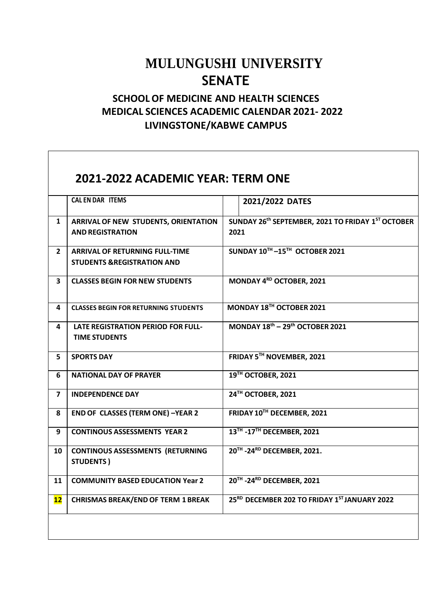## **MULUNGUSHI UNIVERSITY SENATE**

## **SCHOOL OF MEDICINE AND HEALTH SCIENCES MEDICAL SCIENCES ACADEMIC CALENDAR 2021- 2022 LIVINGSTONE/KABWE CAMPUS**

 $\Gamma$ 

|                | <b>CAL EN DAR ITEMS</b>                                                        | 2021/2022 DATES                                           |
|----------------|--------------------------------------------------------------------------------|-----------------------------------------------------------|
| $\mathbf{1}$   | ARRIVAL OF NEW STUDENTS, ORIENTATION<br><b>AND REGISTRATION</b>                | SUNDAY 26th SEPTEMBER, 2021 TO FRIDAY 1ST OCTOBER<br>2021 |
| $\mathbf{2}$   | <b>ARRIVAL OF RETURNING FULL-TIME</b><br><b>STUDENTS &amp;REGISTRATION AND</b> | SUNDAY 10TH-15TH OCTOBER 2021                             |
| 3              | <b>CLASSES BEGIN FOR NEW STUDENTS</b>                                          | MONDAY 4RD OCTOBER, 2021                                  |
| 4              | <b>CLASSES BEGIN FOR RETURNING STUDENTS</b>                                    | MONDAY 18TH OCTOBER 2021                                  |
| 4              | <b>LATE REGISTRATION PERIOD FOR FULL-</b><br><b>TIME STUDENTS</b>              | MONDAY $18^{\text{th}}$ - 29 <sup>th</sup> OCTOBER 2021   |
| 5              | <b>SPORTS DAY</b>                                                              | FRIDAY 5TH NOVEMBER, 2021                                 |
| 6              | <b>NATIONAL DAY OF PRAYER</b>                                                  | 19TH OCTOBER, 2021                                        |
| $\overline{7}$ | <b>INDEPENDENCE DAY</b>                                                        | 24TH OCTOBER, 2021                                        |
| 8              | <b>END OF CLASSES (TERM ONE) -YEAR 2</b>                                       | FRIDAY 10TH DECEMBER, 2021                                |
| 9              | <b>CONTINOUS ASSESSMENTS YEAR 2</b>                                            | 13TH - 17TH DECEMBER, 2021                                |
| 10             | <b>CONTINOUS ASSESSMENTS (RETURNING</b><br><b>STUDENTS</b> )                   | 20TH - 24RD DECEMBER, 2021.                               |
| 11             | <b>COMMUNITY BASED EDUCATION Year 2</b>                                        | 20TH - 24RD DECEMBER, 2021                                |
| 12             | <b>CHRISMAS BREAK/END OF TERM 1 BREAK</b>                                      | 25 <sup>RD</sup> DECEMBER 202 TO FRIDAY 1ST JANUARY 2022  |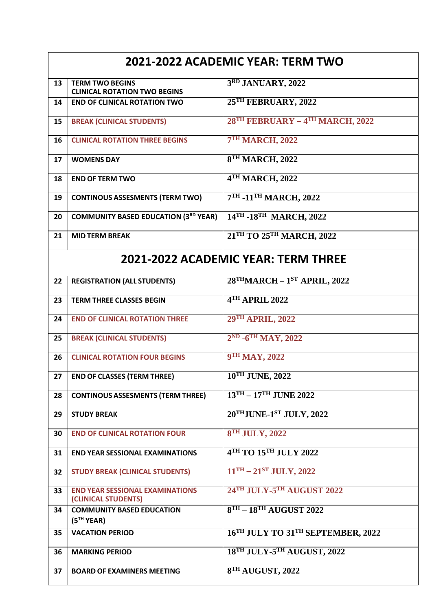| 2021-2022 ACADEMIC YEAR: TERM TWO   |                                                               |                                                   |  |  |
|-------------------------------------|---------------------------------------------------------------|---------------------------------------------------|--|--|
| 13                                  | <b>TERM TWO BEGINS</b><br><b>CLINICAL ROTATION TWO BEGINS</b> | 3RD JANUARY, 2022                                 |  |  |
| 14                                  | <b>END OF CLINICAL ROTATION TWO</b>                           | 25TH FEBRUARY, 2022                               |  |  |
| 15                                  | <b>BREAK (CLINICAL STUDENTS)</b>                              | 28 <sup>TH</sup> FEBRUARY - 4TH MARCH, 2022       |  |  |
| 16                                  | <b>CLINICAL ROTATION THREE BEGINS</b>                         | <b>7TH MARCH, 2022</b>                            |  |  |
| 17                                  | <b>WOMENS DAY</b>                                             | 8TH MARCH, 2022                                   |  |  |
| 18                                  | <b>END OF TERM TWO</b>                                        | 4TH MARCH, 2022                                   |  |  |
| 19                                  | <b>CONTINOUS ASSESMENTS (TERM TWO)</b>                        | 7TH -11TH MARCH, 2022                             |  |  |
| 20                                  | <b>COMMUNITY BASED EDUCATION (3RD YEAR)</b>                   | 14TH -18TH MARCH, 2022                            |  |  |
| 21                                  | <b>MID TERM BREAK</b>                                         | 21TH TO 25TH MARCH, 2022                          |  |  |
| 2021-2022 ACADEMIC YEAR: TERM THREE |                                                               |                                                   |  |  |
| 22                                  | <b>REGISTRATION (ALL STUDENTS)</b>                            | $28$ <sup>TH</sup> MARCH - $1ST$ APRIL, 2022      |  |  |
| 23                                  | <b>TERM THREE CLASSES BEGIN</b>                               | 4TH APRIL 2022                                    |  |  |
| 24                                  | <b>END OF CLINICAL ROTATION THREE</b>                         | 29TH APRIL, 2022                                  |  |  |
| 25                                  | <b>BREAK (CLINICAL STUDENTS)</b>                              | 2ND -6TH MAY, 2022                                |  |  |
| 26                                  | <b>CLINICAL ROTATION FOUR BEGINS</b>                          | 9TH MAY, 2022                                     |  |  |
| 27                                  | <b>END OF CLASSES (TERM THREE)</b>                            | 10TH JUNE, 2022                                   |  |  |
| 28                                  | <b>CONTINOUS ASSESMENTS (TERM THREE)</b>                      | $13TH - 17TH$ JUNE 2022                           |  |  |
| 29                                  | <b>STUDY BREAK</b>                                            | $20^{\text{THJUNE-1ST}}$ JULY, 2022               |  |  |
| 30                                  | <b>END OF CLINICAL ROTATION FOUR</b>                          | <b>8TH JULY, 2022</b>                             |  |  |
| 31                                  | <b>END YEAR SESSIONAL EXAMINATIONS</b>                        | $4$ <sup>TH</sup> TO $15$ <sup>TH</sup> JULY 2022 |  |  |
| 32                                  | <b>STUDY BREAK (CLINICAL STUDENTS)</b>                        | $11TH - 21ST JULY, 2022$                          |  |  |
| 33                                  | <b>END YEAR SESSIONAL EXAMINATIONS</b><br>(CLINICAL STUDENTS) | 24TH JULY-5TH AUGUST 2022                         |  |  |
| 34                                  | <b>COMMUNITY BASED EDUCATION</b><br>(5 <sup>TH</sup> YEAR)    | $8TH - 18TH$ AUGUST 2022                          |  |  |
| 35                                  | <b>VACATION PERIOD</b>                                        | 16TH JULY TO 31TH SEPTEMBER, 2022                 |  |  |
| 36                                  | <b>MARKING PERIOD</b>                                         | 18TH JULY-5TH AUGUST, 2022                        |  |  |
| 37                                  | <b>BOARD OF EXAMINERS MEETING</b>                             | 8TH AUGUST, 2022                                  |  |  |